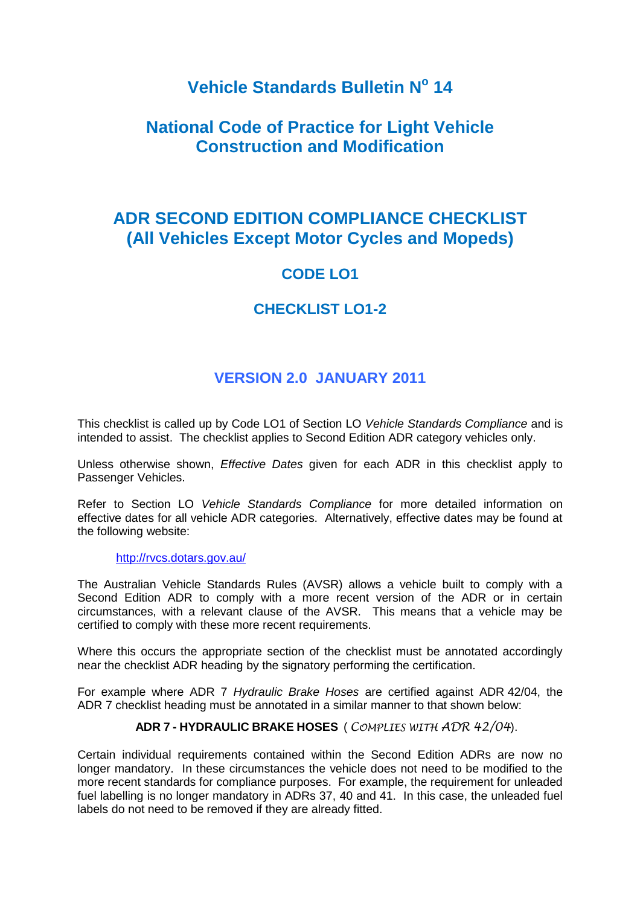# **Vehicle Standards Bulletin N<sup>o</sup> 14**

# **National Code of Practice for Light Vehicle Construction and Modification**

# **ADR SECOND EDITION COMPLIANCE CHECKLIST (All Vehicles Except Motor Cycles and Mopeds)**

# **CODE LO1**

## **CHECKLIST LO1-2**

## **VERSION 2.0 JANUARY 2011**

This checklist is called up by Code LO1 of Section LO *Vehicle Standards Compliance* and is intended to assist. The checklist applies to Second Edition ADR category vehicles only.

Unless otherwise shown, *Effective Dates* given for each ADR in this checklist apply to Passenger Vehicles.

Refer to Section LO *Vehicle Standards Compliance* for more detailed information on effective dates for all vehicle ADR categories. Alternatively, effective dates may be found at the following website:

#### <http://rvcs.dotars.gov.au/>

The Australian Vehicle Standards Rules (AVSR) allows a vehicle built to comply with a Second Edition ADR to comply with a more recent version of the ADR or in certain circumstances, with a relevant clause of the AVSR. This means that a vehicle may be certified to comply with these more recent requirements.

Where this occurs the appropriate section of the checklist must be annotated accordingly near the checklist ADR heading by the signatory performing the certification.

For example where ADR 7 *Hydraulic Brake Hoses* are certified against ADR 42/04, the ADR 7 checklist heading must be annotated in a similar manner to that shown below:

#### **ADR 7 - HYDRAULIC BRAKE HOSES** ( *COMPLIES WITH ADR 42/04*).

Certain individual requirements contained within the Second Edition ADRs are now no longer mandatory. In these circumstances the vehicle does not need to be modified to the more recent standards for compliance purposes. For example, the requirement for unleaded fuel labelling is no longer mandatory in ADRs 37, 40 and 41. In this case, the unleaded fuel labels do not need to be removed if they are already fitted.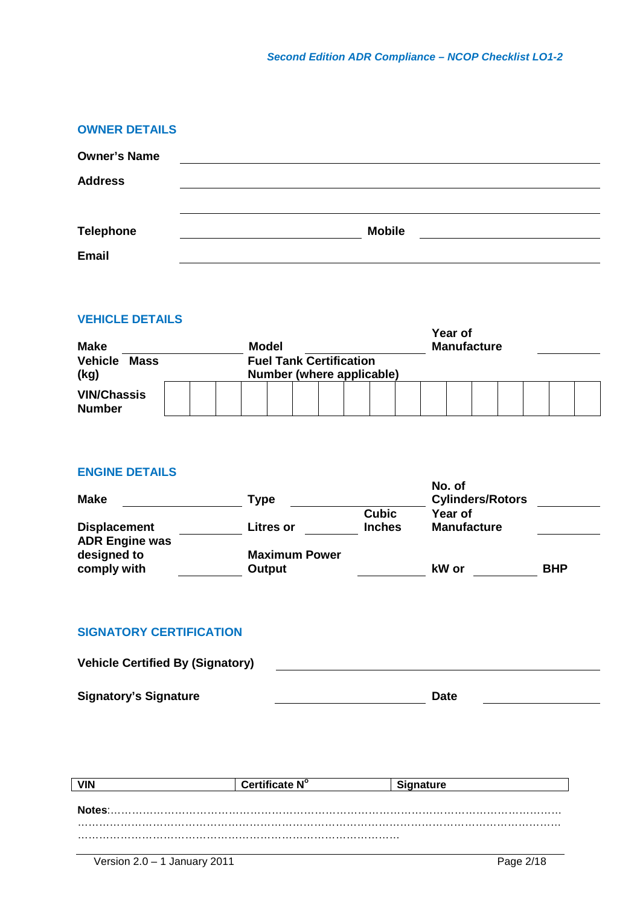| <b>OWNER DETAILS</b> |               |
|----------------------|---------------|
| <b>Owner's Name</b>  |               |
| <b>Address</b>       |               |
|                      |               |
| <b>Telephone</b>     | <b>Mobile</b> |
| <b>Email</b>         |               |

| <b>VEHICLE DETAILS</b><br>Year of     |  |  |                                                             |  |  |  |                    |  |  |  |  |  |  |  |  |  |
|---------------------------------------|--|--|-------------------------------------------------------------|--|--|--|--------------------|--|--|--|--|--|--|--|--|--|
| <b>Make</b>                           |  |  | Model                                                       |  |  |  | <b>Manufacture</b> |  |  |  |  |  |  |  |  |  |
| <b>Vehicle</b><br><b>Mass</b><br>(kg) |  |  | <b>Fuel Tank Certification</b><br>Number (where applicable) |  |  |  |                    |  |  |  |  |  |  |  |  |  |
| <b>VIN/Chassis</b><br><b>Number</b>   |  |  |                                                             |  |  |  |                    |  |  |  |  |  |  |  |  |  |

#### **ENGINE DETAILS**

| <b>Make</b>                                  | Type                 |               | No. of<br><b>Cylinders/Rotors</b> |            |
|----------------------------------------------|----------------------|---------------|-----------------------------------|------------|
|                                              |                      | <b>Cubic</b>  | Year of                           |            |
| <b>Displacement</b><br><b>ADR Engine was</b> | <b>Litres or</b>     | <b>Inches</b> | <b>Manufacture</b>                |            |
| designed to                                  | <b>Maximum Power</b> |               |                                   |            |
| comply with                                  | Output               |               | kW or                             | <b>BHP</b> |

## **SIGNATORY CERTIFICATION**

| <b>Vehicle Certified By (Signatory)</b> |      |  |
|-----------------------------------------|------|--|
|                                         |      |  |
| <b>Signatory's Signature</b>            | Date |  |

|        | Certificate N° | <b>Signature</b> |
|--------|----------------|------------------|
|        |                |                  |
| Notes: |                |                  |
|        |                |                  |
|        |                |                  |
|        |                |                  |

 $\mathcal{L}(\mathcal{L})$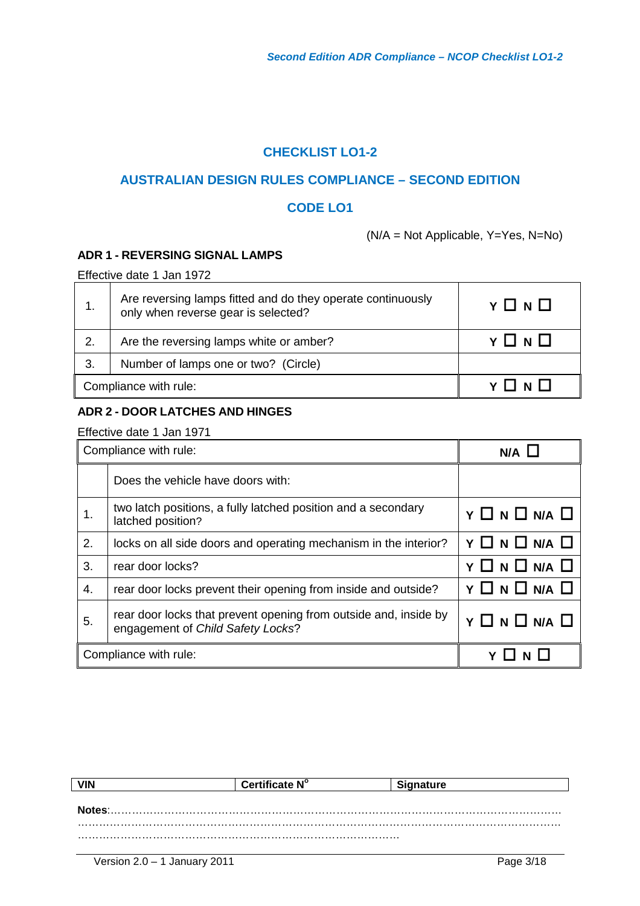## **CHECKLIST LO1-2**

## **AUSTRALIAN DESIGN RULES COMPLIANCE – SECOND EDITION**

## **CODE LO1**

(N/A = Not Applicable, Y=Yes, N=No)

### **ADR 1 - REVERSING SIGNAL LAMPS**

Effective date 1 Jan 1972

|                       | Are reversing lamps fitted and do they operate continuously<br>only when reverse gear is selected? | $Y \Box N \Box$     |
|-----------------------|----------------------------------------------------------------------------------------------------|---------------------|
| 2.                    | Are the reversing lamps white or amber?                                                            | $Y \sqcap N \sqcap$ |
| 3.                    | Number of lamps one or two? (Circle)                                                               |                     |
| Compliance with rule: |                                                                                                    |                     |

#### **ADR 2 - DOOR LATCHES AND HINGES**

|    | Compliance with rule:                                                                                 | N/A           |
|----|-------------------------------------------------------------------------------------------------------|---------------|
|    | Does the vehicle have doors with:                                                                     |               |
| 1. | two latch positions, a fully latched position and a secondary<br>latched position?                    | Y O N O N/A O |
| 2. | locks on all side doors and operating mechanism in the interior?                                      | Y O N O N/A O |
| 3. | rear door locks?                                                                                      | Y O N O N/A O |
| 4. | rear door locks prevent their opening from inside and outside?                                        | Y O N O N/A O |
| 5. | rear door locks that prevent opening from outside and, inside by<br>engagement of Child Safety Locks? | Y O N O N/A O |
|    | Compliance with rule:                                                                                 |               |

|        | Certificate N° | <b>Signature</b> |  |
|--------|----------------|------------------|--|
|        |                |                  |  |
| Notes: |                |                  |  |
|        |                |                  |  |
|        |                |                  |  |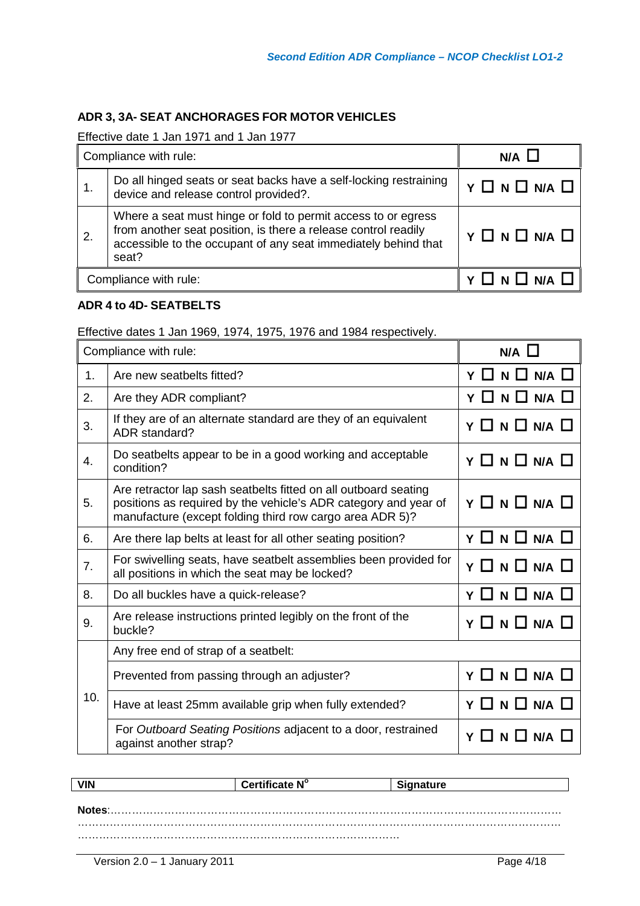## **ADR 3, 3A- SEAT ANCHORAGES FOR MOTOR VEHICLES**

Effective date 1 Jan 1971 and 1 Jan 1977

| Compliance with rule: |                                                                                                                                                                                                            | $N/A$ $L$                |
|-----------------------|------------------------------------------------------------------------------------------------------------------------------------------------------------------------------------------------------------|--------------------------|
| 1.                    | Do all hinged seats or seat backs have a self-locking restraining<br>device and release control provided?.                                                                                                 | Y O N O N/A O            |
| 2.                    | Where a seat must hinge or fold to permit access to or egress<br>from another seat position, is there a release control readily<br>accessible to the occupant of any seat immediately behind that<br>seat? | Y O N O N/A O            |
| Compliance with rule: |                                                                                                                                                                                                            | $Y \Box N \Box N A \Box$ |

#### **ADR 4 to 4D- SEATBELTS**

Effective dates 1 Jan 1969, 1974, 1975, 1976 and 1984 respectively.

|                  | Compliance with rule:                                                                                                                                                                          | $N/A$ $\Box$             |
|------------------|------------------------------------------------------------------------------------------------------------------------------------------------------------------------------------------------|--------------------------|
| 1.               | Are new seatbelts fitted?                                                                                                                                                                      | $Y \Box N \Box N A \Box$ |
| 2.               | Are they ADR compliant?                                                                                                                                                                        | $Y \Box N \Box N A \Box$ |
| 3.               | If they are of an alternate standard are they of an equivalent<br>ADR standard?                                                                                                                | Y O N O N/A O            |
| $\overline{4}$ . | Do seatbelts appear to be in a good working and acceptable<br>condition?                                                                                                                       | Y O N O N/A O            |
| 5.               | Are retractor lap sash seatbelts fitted on all outboard seating<br>positions as required by the vehicle's ADR category and year of<br>manufacture (except folding third row cargo area ADR 5)? | Y O N O N/A O            |
| 6.               | Are there lap belts at least for all other seating position?                                                                                                                                   | Y O N O N/A O            |
| 7.               | For swivelling seats, have seatbelt assemblies been provided for<br>all positions in which the seat may be locked?                                                                             | Y O N O N/A O            |
| 8.               | Do all buckles have a quick-release?                                                                                                                                                           | Y O N O N/A O            |
| 9.               | Are release instructions printed legibly on the front of the<br>buckle?                                                                                                                        | Y O N O N/A O            |
|                  | Any free end of strap of a seatbelt:                                                                                                                                                           |                          |
| 10.              | Prevented from passing through an adjuster?                                                                                                                                                    | Y O N O N/A O            |
|                  | Have at least 25mm available grip when fully extended?                                                                                                                                         | $Y \Box N \Box N A \Box$ |
|                  | For Outboard Seating Positions adjacent to a door, restrained<br>against another strap?                                                                                                        | $N$ $\Box$<br>N/A<br>Y   |

|        | Certificate N° | ınature |
|--------|----------------|---------|
|        |                |         |
| .otes: |                |         |
|        |                |         |
|        |                |         |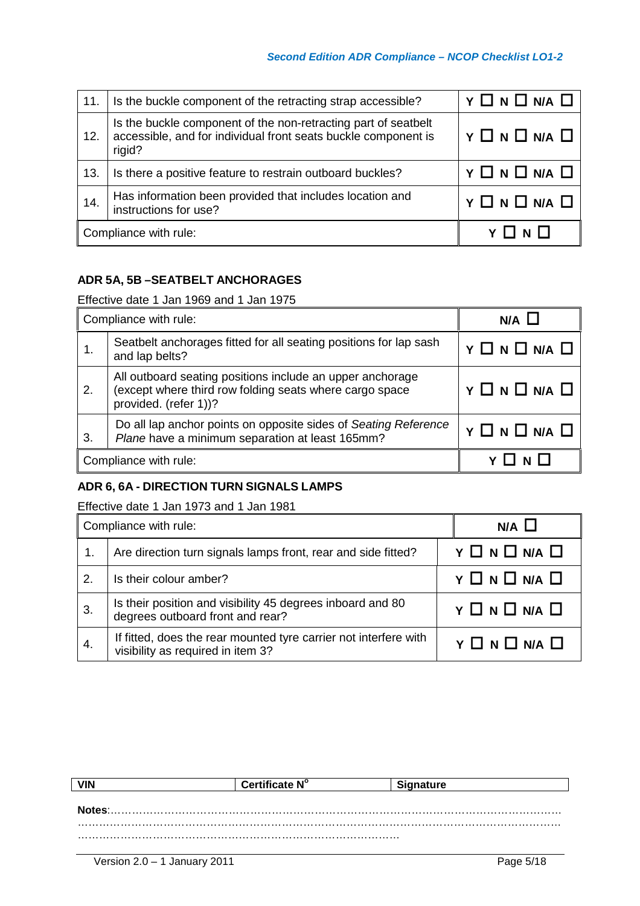#### *Second Edition ADR Compliance – NCOP Checklist LO1-2*

| 11. | Is the buckle component of the retracting strap accessible?                                                                                | $Y \Box N \Box N A \Box$          |
|-----|--------------------------------------------------------------------------------------------------------------------------------------------|-----------------------------------|
| 12. | Is the buckle component of the non-retracting part of seatbelt<br>accessible, and for individual front seats buckle component is<br>rigid? | $Y \Box N \Box N A \Box$          |
| 13. | Is there a positive feature to restrain outboard buckles?                                                                                  | $Y \square N \square N/A \square$ |
| 14. | Has information been provided that includes location and<br>instructions for use?                                                          | $Y \Box N \Box N/A \Box$          |
|     | Compliance with rule:                                                                                                                      |                                   |

## **ADR 5A, 5B –SEATBELT ANCHORAGES**

Effective date 1 Jan 1969 and 1 Jan 1975

| Compliance with rule: |                                                                                                                                               | $N/A$ $\Box$             |
|-----------------------|-----------------------------------------------------------------------------------------------------------------------------------------------|--------------------------|
|                       | Seatbelt anchorages fitted for all seating positions for lap sash<br>and lap belts?                                                           | $Y \Box N \Box N A \Box$ |
| 2.                    | All outboard seating positions include an upper anchorage<br>(except where third row folding seats where cargo space<br>provided. (refer 1))? | $Y \Box N \Box N A \Box$ |
| 3.                    | Do all lap anchor points on opposite sides of Seating Reference<br>Plane have a minimum separation at least 165mm?                            | $Y \Box N \Box N A \Box$ |
| Compliance with rule: |                                                                                                                                               |                          |

## **ADR 6, 6A - DIRECTION TURN SIGNALS LAMPS**

Effective date 1 Jan 1973 and 1 Jan 1981

| Compliance with rule: |                                                                                                       | $N/A$ $\Box$                      |
|-----------------------|-------------------------------------------------------------------------------------------------------|-----------------------------------|
|                       | Are direction turn signals lamps front, rear and side fitted?                                         | $Y \square N \square N/A \square$ |
| 2.                    | Is their colour amber?                                                                                | Y O N O N/A O                     |
| 3                     | Is their position and visibility 45 degrees inboard and 80<br>degrees outboard front and rear?        | $Y \Box N \Box N/A \Box$          |
| 4.                    | If fitted, does the rear mounted tyre carrier not interfere with<br>visibility as required in item 3? | $Y \Box N \Box N A \Box$          |

|     | re N° | nature |
|-----|-------|--------|
|     |       |        |
| es: |       |        |
|     |       |        |
|     |       |        |
|     |       |        |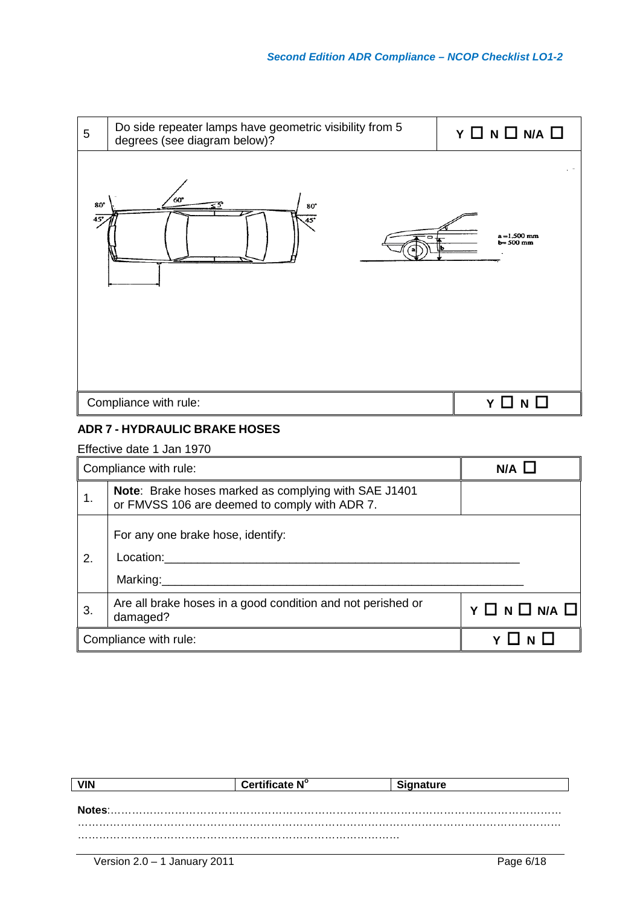

## **ADR 7 - HYDRAULIC BRAKE HOSES**

|    | Compliance with rule:                                                                                        | N/A                               |
|----|--------------------------------------------------------------------------------------------------------------|-----------------------------------|
|    | <b>Note:</b> Brake hoses marked as complying with SAE J1401<br>or FMVSS 106 are deemed to comply with ADR 7. |                                   |
| 2. | For any one brake hose, identify:<br>Location:<br>Marking:                                                   |                                   |
| 3. | Are all brake hoses in a good condition and not perished or<br>damaged?                                      | $Y \square N \square N A \square$ |
|    | Compliance with rule:                                                                                        |                                   |

| Certificate Nº | <u>یا اس ب</u> |
|----------------|----------------|
|                |                |
|                |                |
|                |                |
|                |                |
|                |                |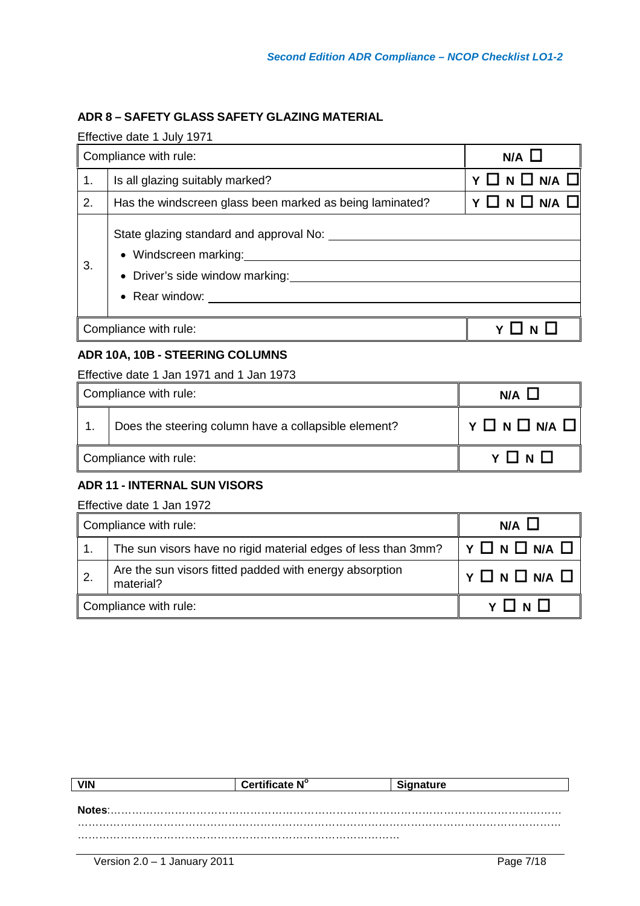## **ADR 8 – SAFETY GLASS SAFETY GLAZING MATERIAL**

Effective date 1 July 1971

| Compliance with rule: |                                                                                                                               | N/A                      |
|-----------------------|-------------------------------------------------------------------------------------------------------------------------------|--------------------------|
| 1.                    | Is all glazing suitably marked?                                                                                               | $Y \Box N \Box N A \Box$ |
| 2.                    | Has the windscreen glass been marked as being laminated?                                                                      | $Y \Box N \Box N/A \Box$ |
| 3.                    | State glazing standard and approval No:<br>• Windscreen marking:<br>• Driver's side window marking:<br>$\bullet$ Rear window: |                          |
| Compliance with rule: |                                                                                                                               |                          |

## **ADR 10A, 10B - STEERING COLUMNS**

Effective date 1 Jan 1971 and 1 Jan 1973

| Compliance with rule: |                                                      | N/A             |
|-----------------------|------------------------------------------------------|-----------------|
|                       | Does the steering column have a collapsible element? | Y O N O N/A O I |
| Compliance with rule: |                                                      | $Y \Box N \Box$ |

## **ADR 11 - INTERNAL SUN VISORS**

| Compliance with rule: |                                                                      | $N/A$ $\Box$                         |
|-----------------------|----------------------------------------------------------------------|--------------------------------------|
|                       | The sun visors have no rigid material edges of less than 3mm?        | $\vert$ Y $\Box$ N $\Box$ N/A $\Box$ |
| $\overline{2}$ .      | Are the sun visors fitted padded with energy absorption<br>material? | Y O N O N/A O                        |
| Compliance with rule: |                                                                      | $Y \sqcap N \sqcap$                  |

|        | Certificate N° | Signature |
|--------|----------------|-----------|
|        |                |           |
| Notes: |                |           |
|        |                |           |
|        |                |           |
|        |                |           |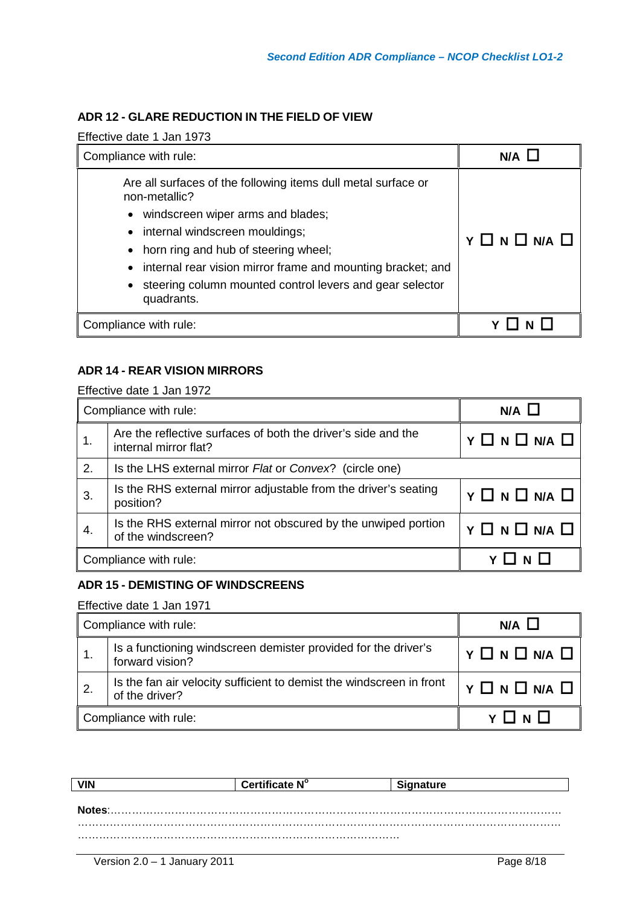## **ADR 12 - GLARE REDUCTION IN THE FIELD OF VIEW**

Effective date 1 Jan 1973

| Compliance with rule:                                                                                                                                                                                                                                                                                                                                       | N/A           |
|-------------------------------------------------------------------------------------------------------------------------------------------------------------------------------------------------------------------------------------------------------------------------------------------------------------------------------------------------------------|---------------|
| Are all surfaces of the following items dull metal surface or<br>non-metallic?<br>• windscreen wiper arms and blades;<br>• internal windscreen mouldings;<br>• horn ring and hub of steering wheel;<br>• internal rear vision mirror frame and mounting bracket; and<br>steering column mounted control levers and gear selector<br>$\bullet$<br>quadrants. | Y O N O N/A O |
| Compliance with rule:                                                                                                                                                                                                                                                                                                                                       |               |

#### **ADR 14 - REAR VISION MIRRORS**

Effective date 1 Jan 1972

| Compliance with rule: |                                                                                        | N/A L                             |
|-----------------------|----------------------------------------------------------------------------------------|-----------------------------------|
|                       | Are the reflective surfaces of both the driver's side and the<br>internal mirror flat? | $Y \square N \square N/A \square$ |
| 2.                    | Is the LHS external mirror Flat or Convex? (circle one)                                |                                   |
| 3                     | Is the RHS external mirror adjustable from the driver's seating<br>position?           | $Y \square N \square N/A \square$ |
| 4.                    | Is the RHS external mirror not obscured by the unwiped portion<br>of the windscreen?   | $Y \square N \square N A \square$ |
|                       | Compliance with rule:                                                                  | Y I N I                           |

#### **ADR 15 - DEMISTING OF WINDSCREENS**

| Compliance with rule: |                                                                                        | $N/A$ $\Box$                      |
|-----------------------|----------------------------------------------------------------------------------------|-----------------------------------|
|                       | Is a functioning windscreen demister provided for the driver's<br>forward vision?      | $Y \square N \square N A \square$ |
| $\overline{2}$ .      | Is the fan air velocity sufficient to demist the windscreen in front<br>of the driver? | $Y \Box N \Box N A \Box$          |
| Compliance with rule: |                                                                                        |                                   |

|              | Certificate N° |  |
|--------------|----------------|--|
|              |                |  |
| <b>Notes</b> |                |  |
|              |                |  |
|              |                |  |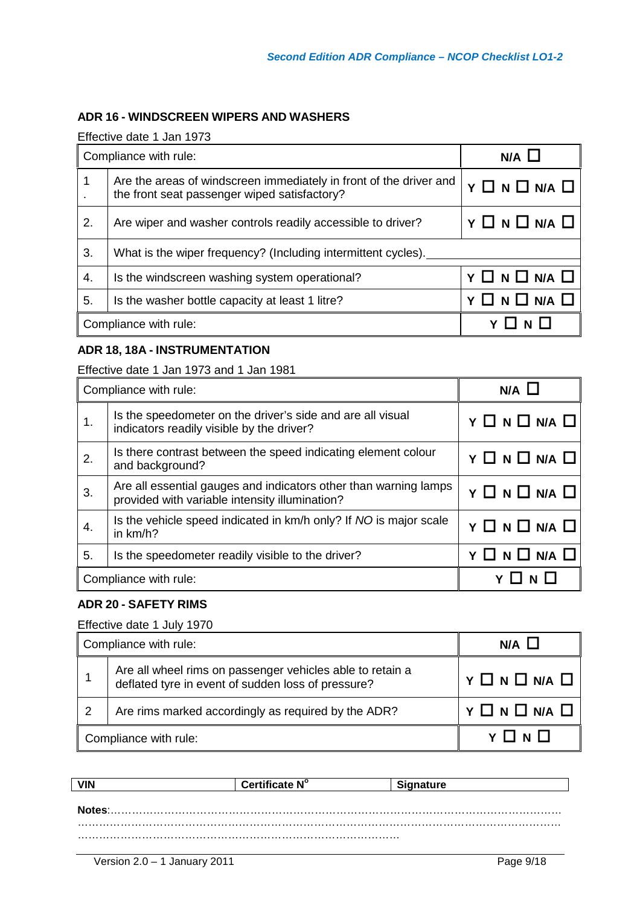## **ADR 16 - WINDSCREEN WIPERS AND WASHERS**

Effective date 1 Jan 1973

| Compliance with rule: |                                                                                                                    | $N/A$ $\Box$                      |
|-----------------------|--------------------------------------------------------------------------------------------------------------------|-----------------------------------|
| 1                     | Are the areas of windscreen immediately in front of the driver and<br>the front seat passenger wiped satisfactory? | $Y \square N \square N A \square$ |
| 2.                    | Are wiper and washer controls readily accessible to driver?                                                        | $Y \Box N \Box N A \Box$          |
| 3.                    | What is the wiper frequency? (Including intermittent cycles).                                                      |                                   |
| $\overline{4}$ .      | Is the windscreen washing system operational?                                                                      | $Y \Box N \Box N A \Box$          |
| 5.                    | Is the washer bottle capacity at least 1 litre?                                                                    | $Y \Box N \Box N/A \Box$          |
|                       | Compliance with rule:                                                                                              |                                   |

## **ADR 18, 18A - INSTRUMENTATION**

#### Effective date 1 Jan 1973 and 1 Jan 1981

|                       | Compliance with rule:                                                                                              | $N/A$ $\Box$                      |
|-----------------------|--------------------------------------------------------------------------------------------------------------------|-----------------------------------|
| 1.                    | Is the speedometer on the driver's side and are all visual<br>indicators readily visible by the driver?            | $Y \square N \square N/A \square$ |
| 2.                    | Is there contrast between the speed indicating element colour<br>and background?                                   | $Y \square N \square N A \square$ |
| 3.                    | Are all essential gauges and indicators other than warning lamps<br>provided with variable intensity illumination? | $Y \square N \square N A \square$ |
| 4.                    | Is the vehicle speed indicated in km/h only? If NO is major scale<br>in km/h?                                      | Y O N O N/A O                     |
| 5.                    | Is the speedometer readily visible to the driver?                                                                  | $Y \Box N \Box N/A \Box$          |
| Compliance with rule: |                                                                                                                    | <b>N</b>                          |

#### **ADR 20 - SAFETY RIMS**

#### Effective date 1 July 1970

| Compliance with rule: |                                                                                                                 | N/A I                    |
|-----------------------|-----------------------------------------------------------------------------------------------------------------|--------------------------|
|                       | Are all wheel rims on passenger vehicles able to retain a<br>deflated tyre in event of sudden loss of pressure? | Y O N O N/A O            |
| $\mathcal{P}$         | Are rims marked accordingly as required by the ADR?                                                             | $Y \Box N \Box N/A \Box$ |
| Compliance with rule: |                                                                                                                 |                          |

|        | Certificate N° | <b>Signature</b> |
|--------|----------------|------------------|
|        |                |                  |
| Notes: |                |                  |
|        |                |                  |
|        |                |                  |
|        |                |                  |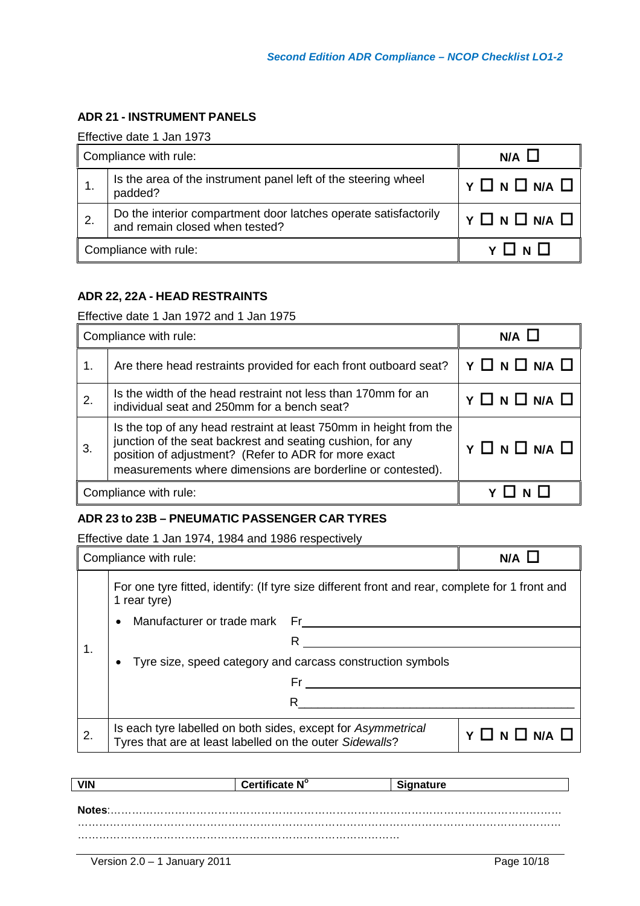## **ADR 21 - INSTRUMENT PANELS**

Effective date 1 Jan 1973

| Compliance with rule: |                                                                                                   | $N/A$ $\Box$                      |
|-----------------------|---------------------------------------------------------------------------------------------------|-----------------------------------|
|                       | Is the area of the instrument panel left of the steering wheel<br>padded?                         | $Y \Box N \Box N/A \Box$          |
| -2.                   | Do the interior compartment door latches operate satisfactorily<br>and remain closed when tested? | $Y \square N \square N/A \square$ |
| Compliance with rule: |                                                                                                   | VIINII                            |

#### **ADR 22, 22A - HEAD RESTRAINTS**

Effective date 1 Jan 1972 and 1 Jan 1975

| Compliance with rule: |                                                                                                                                                                                                                                                         | N/A                               |
|-----------------------|---------------------------------------------------------------------------------------------------------------------------------------------------------------------------------------------------------------------------------------------------------|-----------------------------------|
| 1.                    | Are there head restraints provided for each front outboard seat?                                                                                                                                                                                        | $Y \Box N \Box N/A \Box$          |
| 2.                    | Is the width of the head restraint not less than 170mm for an<br>individual seat and 250mm for a bench seat?                                                                                                                                            | Y O N O N/A O                     |
| 3.                    | Is the top of any head restraint at least 750mm in height from the<br>junction of the seat backrest and seating cushion, for any<br>position of adjustment? (Refer to ADR for more exact<br>measurements where dimensions are borderline or contested). | $Y \square N \square N A \square$ |
|                       | Compliance with rule:                                                                                                                                                                                                                                   | $V \prod M$                       |

#### **ADR 23 to 23B – PNEUMATIC PASSENGER CAR TYRES**

Effective date 1 Jan 1974, 1984 and 1986 respectively

|    | Compliance with rule:                                                                                                    |                                                                                                 | N/A           |
|----|--------------------------------------------------------------------------------------------------------------------------|-------------------------------------------------------------------------------------------------|---------------|
|    | 1 rear tyre)                                                                                                             | For one tyre fitted, identify: (If tyre size different front and rear, complete for 1 front and |               |
|    | Manufacturer or trade mark Fr<br>$\bullet$                                                                               |                                                                                                 |               |
| 1. |                                                                                                                          | R                                                                                               |               |
|    |                                                                                                                          | Tyre size, speed category and carcass construction symbols                                      |               |
|    |                                                                                                                          | Fr                                                                                              |               |
|    |                                                                                                                          | R                                                                                               |               |
| 2. | Is each tyre labelled on both sides, except for Asymmetrical<br>Tyres that are at least labelled on the outer Sidewalls? |                                                                                                 | Y O N O N/A O |

|        | Certificate N° | <b>Signature</b> |
|--------|----------------|------------------|
|        |                |                  |
| Notes: |                |                  |
|        |                |                  |
|        |                |                  |
|        |                |                  |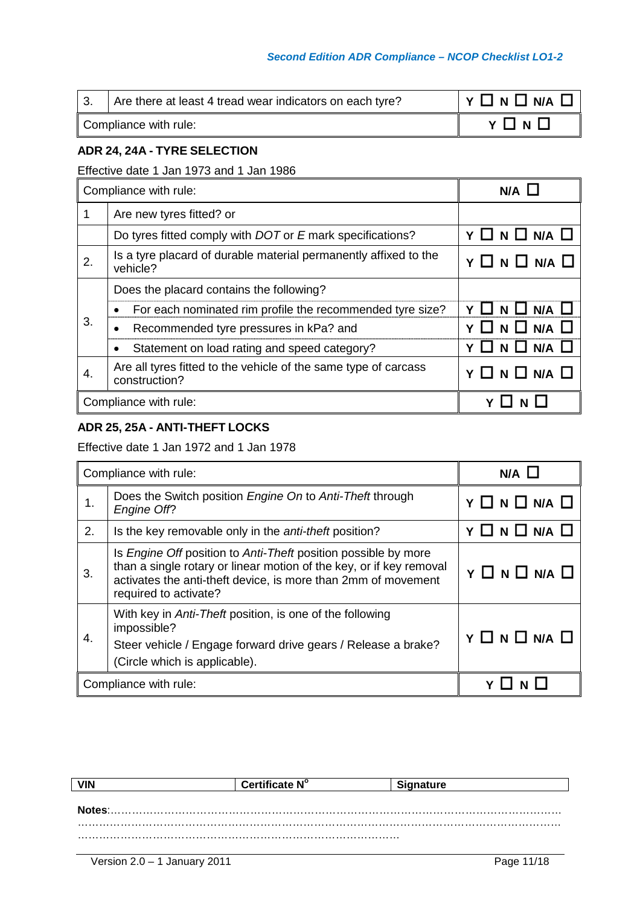#### *Second Edition ADR Compliance – NCOP Checklist LO1-2*

|                       | Are there at least 4 tread wear indicators on each tyre? | Y O N O N/A O |
|-----------------------|----------------------------------------------------------|---------------|
| Compliance with rule: |                                                          | VIINII        |

## **ADR 24, 24A - TYRE SELECTION**

## Effective date 1 Jan 1973 and 1 Jan 1986

| Compliance with rule: |                                                                                  | N/A                    |
|-----------------------|----------------------------------------------------------------------------------|------------------------|
|                       | Are new tyres fitted? or                                                         |                        |
|                       | Do tyres fitted comply with DOT or E mark specifications?                        | $\Box N \Box N A \Box$ |
| 2.                    | Is a tyre placard of durable material permanently affixed to the<br>vehicle?     | Y O N O N/A O          |
|                       | Does the placard contains the following?                                         |                        |
|                       | For each nominated rim profile the recommended tyre size?                        | N/A                    |
| 3.                    | Recommended tyre pressures in kPa? and                                           | $N/A$ $\Box$<br>NЦ     |
|                       | Statement on load rating and speed category?                                     | $N/A$ $\Box$<br>N LI   |
| 4.                    | Are all tyres fitted to the vehicle of the same type of carcass<br>construction? | $N \Box N/A \Box$      |
|                       | Compliance with rule:                                                            |                        |

#### **ADR 25, 25A - ANTI-THEFT LOCKS**

Effective date 1 Jan 1972 and 1 Jan 1978

| Compliance with rule: |                                                                                                                                                                                                                                               | $N/A$ $L$                |
|-----------------------|-----------------------------------------------------------------------------------------------------------------------------------------------------------------------------------------------------------------------------------------------|--------------------------|
| 1.                    | Does the Switch position <i>Engine On</i> to Anti-Theft through<br>Engine Off?                                                                                                                                                                | $Y \Box N \Box N/A \Box$ |
| 2.                    | Is the key removable only in the <i>anti-theft</i> position?                                                                                                                                                                                  | Y O N O N/A O            |
| 3.                    | Is <i>Engine Off</i> position to <i>Anti-Theft</i> position possible by more<br>than a single rotary or linear motion of the key, or if key removal<br>activates the anti-theft device, is more than 2mm of movement<br>required to activate? | $Y \Box N \Box N/A \Box$ |
| 4.                    | With key in Anti-Theft position, is one of the following<br>impossible?<br>Steer vehicle / Engage forward drive gears / Release a brake?<br>(Circle which is applicable).                                                                     | $Y \Box N \Box N A \Box$ |
|                       | Compliance with rule:                                                                                                                                                                                                                         |                          |

|        | Certificate N° | <b>Signature</b> |  |
|--------|----------------|------------------|--|
|        |                |                  |  |
| Notes: |                |                  |  |
|        |                |                  |  |
|        |                |                  |  |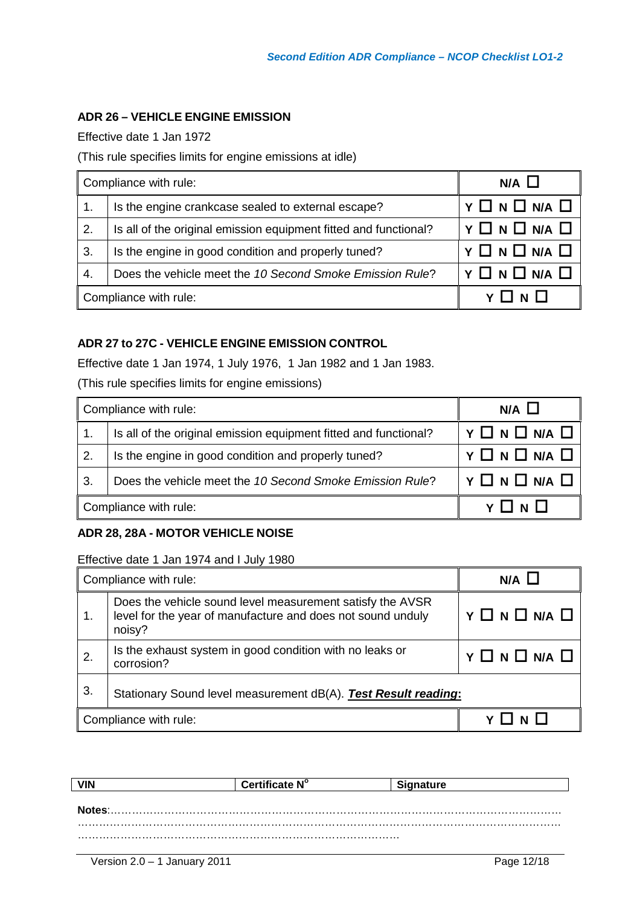## **ADR 26 – VEHICLE ENGINE EMISSION**

Effective date 1 Jan 1972

#### (This rule specifies limits for engine emissions at idle)

| Compliance with rule:                                          |                                                                  | $N/A$ $\Box$             |
|----------------------------------------------------------------|------------------------------------------------------------------|--------------------------|
| 1.                                                             | Is the engine crankcase sealed to external escape?               | $Y \Box N \Box N A \Box$ |
| 2.                                                             | Is all of the original emission equipment fitted and functional? | $Y \Box N \Box N A \Box$ |
| 3.                                                             | Is the engine in good condition and properly tuned?              | $Y \Box N \Box N A \Box$ |
| Does the vehicle meet the 10 Second Smoke Emission Rule?<br>4. |                                                                  | $Y \Box N \Box N A \Box$ |
| Compliance with rule:                                          |                                                                  |                          |

### **ADR 27 to 27C - VEHICLE ENGINE EMISSION CONTROL**

Effective date 1 Jan 1974, 1 July 1976, 1 Jan 1982 and 1 Jan 1983.

(This rule specifies limits for engine emissions)

| Compliance with rule:                                          |                                                                  | $N/A$ $\Box$             |
|----------------------------------------------------------------|------------------------------------------------------------------|--------------------------|
| 1.                                                             | Is all of the original emission equipment fitted and functional? | Y O N O N/A O            |
| 2.                                                             | Is the engine in good condition and properly tuned?              | $Y \Box N \Box N A \Box$ |
| 3.<br>Does the vehicle meet the 10 Second Smoke Emission Rule? |                                                                  | Y O N O N/A O            |
| Compliance with rule:                                          |                                                                  |                          |

#### **ADR 28, 28A - MOTOR VEHICLE NOISE**

Effective date 1 Jan 1974 and I July 1980

| Compliance with rule: |                                                                                                                                    | $N/A$ $\Box$                      |
|-----------------------|------------------------------------------------------------------------------------------------------------------------------------|-----------------------------------|
| 1.                    | Does the vehicle sound level measurement satisfy the AVSR<br>level for the year of manufacture and does not sound unduly<br>noisy? | $Y \square N \square N A \square$ |
| 2.                    | Is the exhaust system in good condition with no leaks or<br>corrosion?                                                             | Y O N O N/A O                     |
| 3.                    | Stationary Sound level measurement dB(A). Test Result reading:                                                                     |                                   |
| Compliance with rule: |                                                                                                                                    |                                   |

| <b>VIN</b> | Certificate N° | <b>Signature</b> |
|------------|----------------|------------------|
|            |                |                  |
| Notes:     |                |                  |
|            |                |                  |
|            |                |                  |
|            |                |                  |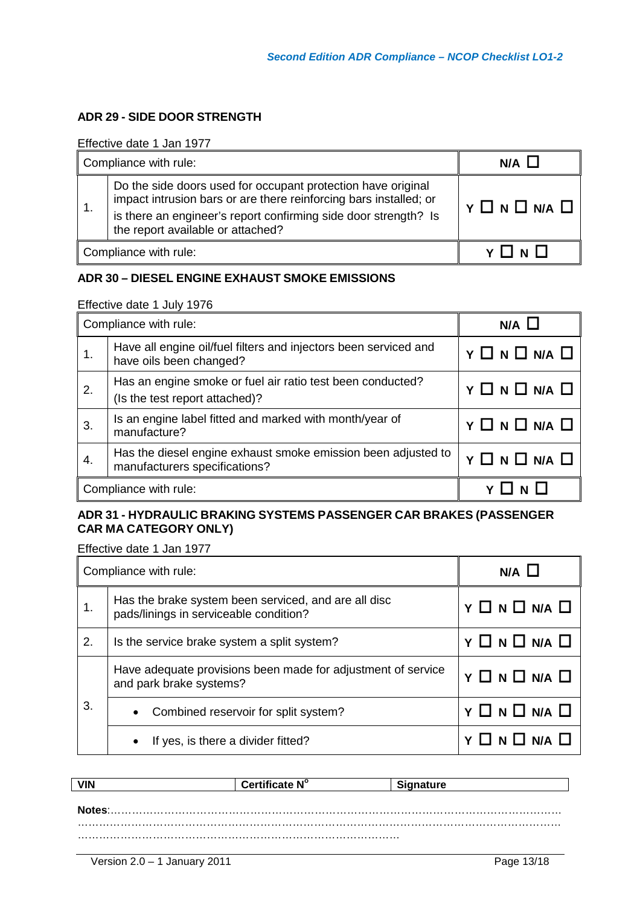## **ADR 29 - SIDE DOOR STRENGTH**

Effective date 1 Jan 1977

| Compliance with rule: |                                                                                                                                                                                                                                           | N/A                      |
|-----------------------|-------------------------------------------------------------------------------------------------------------------------------------------------------------------------------------------------------------------------------------------|--------------------------|
|                       | Do the side doors used for occupant protection have original<br>impact intrusion bars or are there reinforcing bars installed; or<br>is there an engineer's report confirming side door strength? Is<br>the report available or attached? | $Y \Box N \Box N A \Box$ |
|                       | Compliance with rule:                                                                                                                                                                                                                     |                          |

#### **ADR 30 – DIESEL ENGINE EXHAUST SMOKE EMISSIONS**

Effective date 1 July 1976

| Compliance with rule: |                                                                                                | $N/A$ $\Box$             |
|-----------------------|------------------------------------------------------------------------------------------------|--------------------------|
| 1.                    | Have all engine oil/fuel filters and injectors been serviced and<br>have oils been changed?    | $Y \Box N \Box N A \Box$ |
| 2.                    | Has an engine smoke or fuel air ratio test been conducted?<br>(Is the test report attached)?   | $Y \Box N \Box N A \Box$ |
| 3.                    | Is an engine label fitted and marked with month/year of<br>manufacture?                        | $Y \Box N \Box N A \Box$ |
| 4.                    | Has the diesel engine exhaust smoke emission been adjusted to<br>manufacturers specifications? | $Y \Box N \Box N/A \Box$ |
|                       | Compliance with rule:                                                                          |                          |

## **ADR 31 - HYDRAULIC BRAKING SYSTEMS PASSENGER CAR BRAKES (PASSENGER CAR MA CATEGORY ONLY)**

| Compliance with rule: |                                                                                                | $N/A$ $\Box$             |
|-----------------------|------------------------------------------------------------------------------------------------|--------------------------|
|                       | Has the brake system been serviced, and are all disc<br>pads/linings in serviceable condition? | $Y \Box N \Box N A \Box$ |
| 2.                    | Is the service brake system a split system?                                                    | $Y \Box N \Box N A \Box$ |
|                       | Have adequate provisions been made for adjustment of service<br>and park brake systems?        | $Y \Box N \Box N A \Box$ |
| 3.                    | Combined reservoir for split system?<br>$\bullet$                                              | $Y \Box N \Box N A \Box$ |
|                       | If yes, is there a divider fitted?<br>$\bullet$                                                | $\Box N \Box N A \Box$   |

|         | Certificate N° | ure. |
|---------|----------------|------|
|         |                |      |
| otes: . |                |      |
|         |                |      |
|         |                |      |
|         |                |      |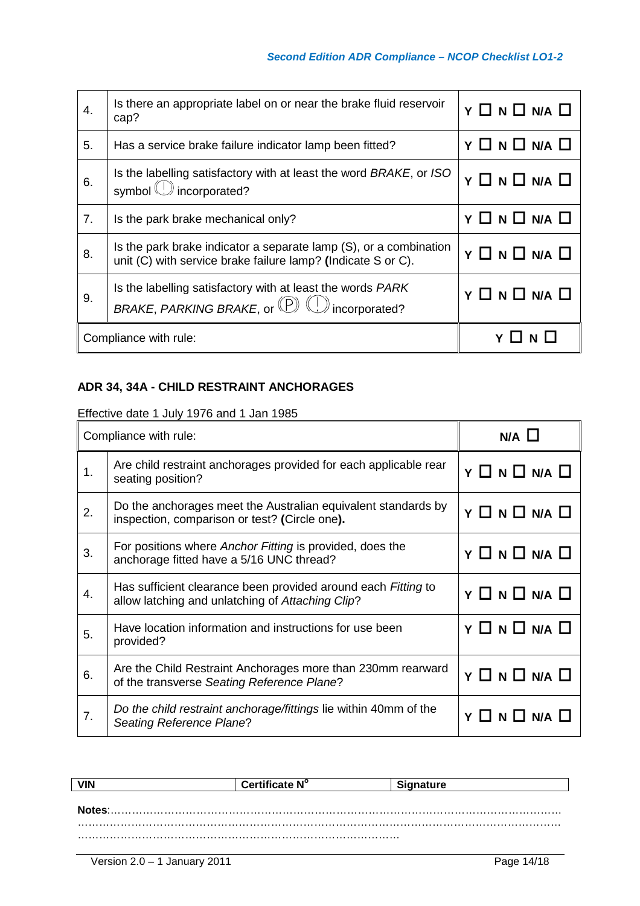| 4. | Is there an appropriate label on or near the brake fluid reservoir<br>cap?                                                        | Y O N O N/A O            |
|----|-----------------------------------------------------------------------------------------------------------------------------------|--------------------------|
| 5. | Has a service brake failure indicator lamp been fitted?                                                                           | Y O N O N/A O            |
| 6. | Is the labelling satisfactory with at least the word BRAKE, or ISO<br>symbol ( <i>v</i> ) incorporated?                           | Y O N O N/A O            |
| 7. | Is the park brake mechanical only?                                                                                                | $Y \Box N \Box N A \Box$ |
| 8. | Is the park brake indicator a separate lamp (S), or a combination<br>unit (C) with service brake failure lamp? (Indicate S or C). | $Y \Box N \Box N/A \Box$ |
| 9. | Is the labelling satisfactory with at least the words PARK<br>BRAKE, PARKING BRAKE, or (P) (D) incorporated?                      | $Y \Box N \Box N A \Box$ |
|    | Compliance with rule:                                                                                                             | $Y \Box N \Box$          |

## **ADR 34, 34A - CHILD RESTRAINT ANCHORAGES**

Effective date 1 July 1976 and 1 Jan 1985

| Compliance with rule: |                                                                                                                   | $N/A$ $\Box$                      |
|-----------------------|-------------------------------------------------------------------------------------------------------------------|-----------------------------------|
| 1.                    | Are child restraint anchorages provided for each applicable rear<br>seating position?                             | $Y \Box N \Box N A \Box$          |
| 2.                    | Do the anchorages meet the Australian equivalent standards by<br>inspection, comparison or test? (Circle one).    | $Y \Box N \Box N A \Box$          |
| 3.                    | For positions where Anchor Fitting is provided, does the<br>anchorage fitted have a 5/16 UNC thread?              | $Y \Box N \Box N A \Box$          |
| 4.                    | Has sufficient clearance been provided around each Fitting to<br>allow latching and unlatching of Attaching Clip? | $Y \square N \square N A \square$ |
| 5.                    | Have location information and instructions for use been<br>provided?                                              | $Y \Box N \Box N A \Box$          |
| 6.                    | Are the Child Restraint Anchorages more than 230mm rearward<br>of the transverse Seating Reference Plane?         | $Y \Box N \Box N A \Box$          |
| 7.                    | Do the child restraint anchorage/fittings lie within 40mm of the<br>Seating Reference Plane?                      | $Y \Box N \Box N A \Box$          |

|        | Certificate N° | qnature |
|--------|----------------|---------|
| Notes: |                |         |
|        |                |         |
|        |                |         |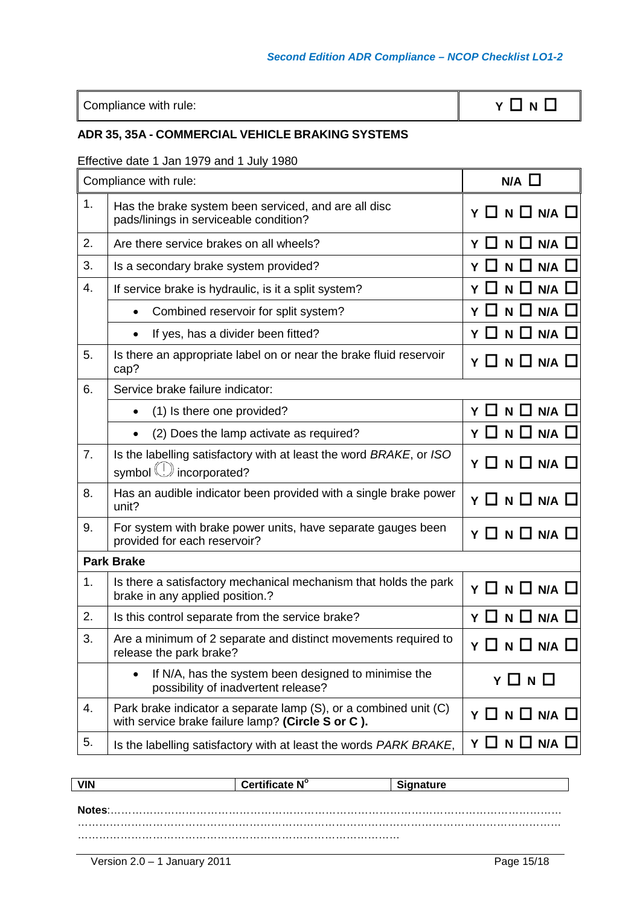Compliance with rule: **Y N N N N N N N** 

## **ADR 35, 35A - COMMERCIAL VEHICLE BRAKING SYSTEMS**

## Effective date 1 Jan 1979 and 1 July 1980

| Compliance with rule: |                                                                                                                       | $N/A$ $\Box$                     |
|-----------------------|-----------------------------------------------------------------------------------------------------------------------|----------------------------------|
| 1.                    | Has the brake system been serviced, and are all disc<br>pads/linings in serviceable condition?                        | $Y \Box N \Box N A \Box$         |
| 2.                    | Are there service brakes on all wheels?                                                                               | Y O N O N/A O                    |
| 3.                    | Is a secondary brake system provided?                                                                                 | Y □ N □<br>$N/A$ $\Box$          |
| 4.                    | If service brake is hydraulic, is it a split system?                                                                  | Y O N O N/A O                    |
|                       | Combined reservoir for split system?                                                                                  | $N \Box N/A \Box$<br>YЦ          |
|                       | If yes, has a divider been fitted?                                                                                    | Y O N O N/A O                    |
| 5.                    | Is there an appropriate label on or near the brake fluid reservoir<br>cap?                                            | Y O N O N/A O                    |
| 6.                    | Service brake failure indicator:                                                                                      |                                  |
|                       | (1) Is there one provided?<br>$\bullet$                                                                               | Y O N O N/A O                    |
|                       | (2) Does the lamp activate as required?<br>$\bullet$                                                                  | $N$ $\Box$<br>ΥП<br>$N/A$ $\Box$ |
| 7 <sub>1</sub>        | Is the labelling satisfactory with at least the word BRAKE, or ISO<br>symbol (!) incorporated?                        | Y O N O N/A O                    |
| 8.                    | Has an audible indicator been provided with a single brake power<br>unit?                                             | Y O N O N/A O                    |
| 9.                    | For system with brake power units, have separate gauges been<br>provided for each reservoir?                          | $Y \Box N \Box N A \Box$         |
|                       | <b>Park Brake</b>                                                                                                     |                                  |
| 1.                    | Is there a satisfactory mechanical mechanism that holds the park<br>brake in any applied position.?                   | $Y \Box N \Box N A \Box$         |
| 2.                    | Is this control separate from the service brake?                                                                      | Y □ N □ N/A □                    |
| 3.                    | Are a minimum of 2 separate and distinct movements required to<br>release the park brake?                             | N/A<br>ү Ц<br>N LI               |
|                       | If N/A, has the system been designed to minimise the<br>possibility of inadvertent release?                           | Y □ N □                          |
| 4.                    | Park brake indicator a separate lamp (S), or a combined unit (C)<br>with service brake failure lamp? (Circle S or C). | $Y \Box N \Box N A \Box$         |
| 5.                    | Is the labelling satisfactory with at least the words PARK BRAKE,                                                     | Y O N O N/A O                    |

| <b>VIN</b> | Certificate N° | <b>Signature</b> |
|------------|----------------|------------------|
|            |                |                  |
| Notes:     |                |                  |
|            |                |                  |
|            |                |                  |
|            |                |                  |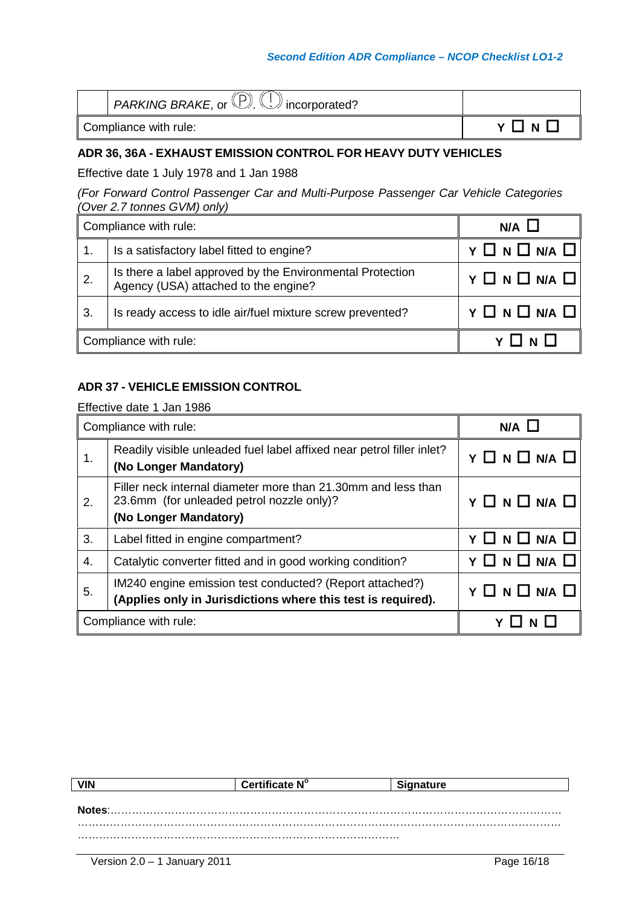#### *Second Edition ADR Compliance – NCOP Checklist LO1-2*

| $\Box$ PARKING BRAKE, or $\Box$ $\Box$ incorporated? |       |
|------------------------------------------------------|-------|
| Compliance with rule:                                | YLINL |

#### **ADR 36, 36A - EXHAUST EMISSION CONTROL FOR HEAVY DUTY VEHICLES**

Effective date 1 July 1978 and 1 Jan 1988

*(For Forward Control Passenger Car and Multi-Purpose Passenger Car Vehicle Categories (Over 2.7 tonnes GVM) only)*

| Compliance with rule: |                                                                                                   | $N/A$ $\Box$             |
|-----------------------|---------------------------------------------------------------------------------------------------|--------------------------|
|                       | Is a satisfactory label fitted to engine?                                                         | Y O N O N/A O            |
| $\overline{2}$ .      | Is there a label approved by the Environmental Protection<br>Agency (USA) attached to the engine? | $Y \Box N \Box N A \Box$ |
| $\mathbf{3}$ .        | Is ready access to idle air/fuel mixture screw prevented?                                         | Y O N O N/A O            |
| Compliance with rule: |                                                                                                   |                          |

#### **ADR 37 - VEHICLE EMISSION CONTROL**

| Compliance with rule: |                                                                                                                                     | N/A                                       |
|-----------------------|-------------------------------------------------------------------------------------------------------------------------------------|-------------------------------------------|
| 1.                    | Readily visible unleaded fuel label affixed near petrol filler inlet?<br>(No Longer Mandatory)                                      | $Y \Box N \Box N/A \Box$                  |
| 2.                    | Filler neck internal diameter more than 21.30mm and less than<br>23.6mm (for unleaded petrol nozzle only)?<br>(No Longer Mandatory) | $Y \square N \square N/A \square$         |
| 3.                    | Label fitted in engine compartment?                                                                                                 | Y O N O N/A O                             |
| 4.                    | Catalytic converter fitted and in good working condition?                                                                           | $\square$ n $\square$ n/a $\square$<br>Y. |
| 5.                    | IM240 engine emission test conducted? (Report attached?)<br>(Applies only in Jurisdictions where this test is required).            | Y O N O N/A O                             |
| Compliance with rule: |                                                                                                                                     |                                           |

| <b>VIN</b> | Certificate N° | <b>anature</b> |
|------------|----------------|----------------|
|            |                |                |
|            |                |                |
|            |                |                |
|            |                |                |
|            |                |                |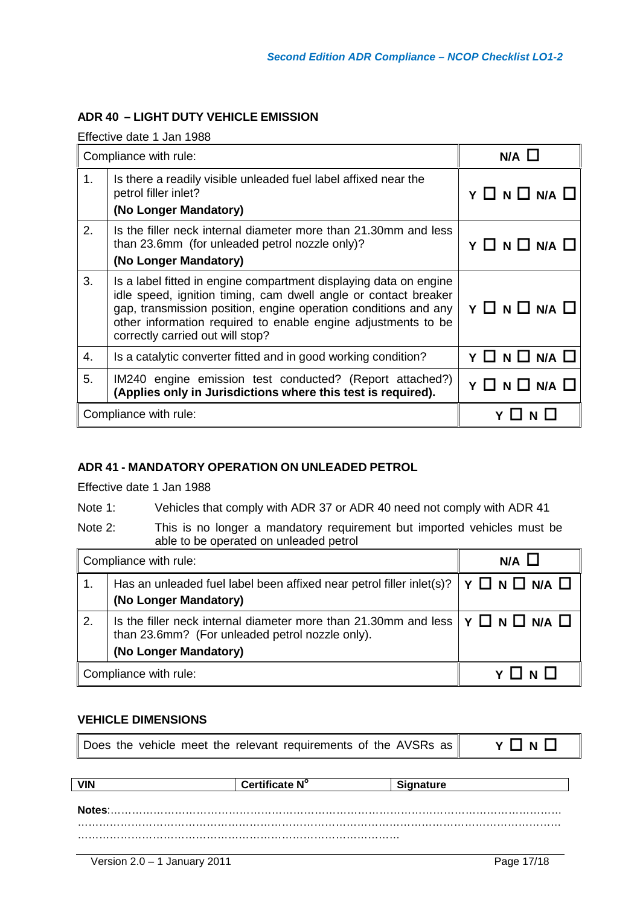## **ADR 40 – LIGHT DUTY VEHICLE EMISSION**

Effective date 1 Jan 1988

| Compliance with rule: |                                                                                                                                                                                                                                                                                                              | N/A                      |
|-----------------------|--------------------------------------------------------------------------------------------------------------------------------------------------------------------------------------------------------------------------------------------------------------------------------------------------------------|--------------------------|
| 1.                    | Is there a readily visible unleaded fuel label affixed near the<br>petrol filler inlet?<br>(No Longer Mandatory)                                                                                                                                                                                             | $Y \Box N \Box N A \Box$ |
| 2.                    | Is the filler neck internal diameter more than 21.30mm and less<br>than 23.6mm (for unleaded petrol nozzle only)?<br>(No Longer Mandatory)                                                                                                                                                                   | $Y \Box N \Box N/A \Box$ |
| 3.                    | Is a label fitted in engine compartment displaying data on engine<br>idle speed, ignition timing, cam dwell angle or contact breaker<br>gap, transmission position, engine operation conditions and any<br>other information required to enable engine adjustments to be<br>correctly carried out will stop? | $Y \Box N \Box N A \Box$ |
| 4.                    | Is a catalytic converter fitted and in good working condition?                                                                                                                                                                                                                                               | Y O N O N/A O            |
| 5.                    | IM240 engine emission test conducted? (Report attached?)<br>(Applies only in Jurisdictions where this test is required).                                                                                                                                                                                     | Y O N O N/A O            |
| Compliance with rule: |                                                                                                                                                                                                                                                                                                              |                          |

#### **ADR 41 - MANDATORY OPERATION ON UNLEADED PETROL**

Effective date 1 Jan 1988

Note 1: Vehicles that comply with ADR 37 or ADR 40 need not comply with ADR 41

Note 2: This is no longer a mandatory requirement but imported vehicles must be able to be operated on unleaded petrol

| Compliance with rule: |                                                                                                                                                                                      | $N/A$ $\Box$ |
|-----------------------|--------------------------------------------------------------------------------------------------------------------------------------------------------------------------------------|--------------|
|                       | Has an unleaded fuel label been affixed near petrol filler inlet(s)? $\forall \Box \land \Box \land \Box \land \Box$<br>(No Longer Mandatory)                                        |              |
| 2.                    | Is the filler neck internal diameter more than 21.30mm and less $\gamma \Box \mathbf{N} \Box \mathbf{N}$<br>than 23.6mm? (For unleaded petrol nozzle only).<br>(No Longer Mandatory) |              |
| Compliance with rule: |                                                                                                                                                                                      |              |

#### **VEHICLE DIMENSIONS**

| Does the vehicle meet the relevant requirements of the AVSRs as | YONO |
|-----------------------------------------------------------------|------|
|-----------------------------------------------------------------|------|

| Certificate N° | nature |
|----------------|--------|
|                |        |
|                |        |
|                |        |
|                |        |
|                |        |